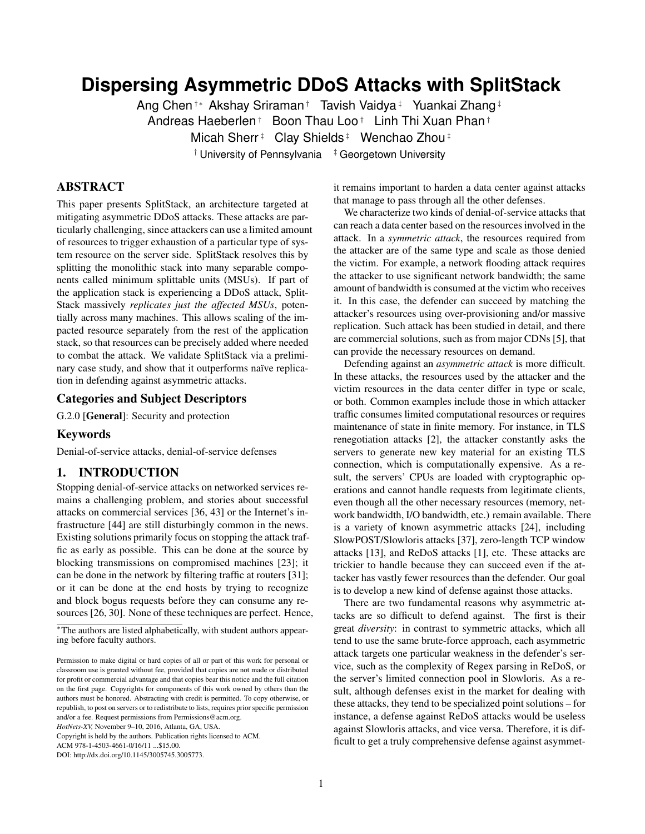# **Dispersing Asymmetric DDoS Attacks with SplitStack**

Ang Chen†∗ Akshay Sriraman† Tavish Vaidya‡ Yuankai Zhang‡ Andreas Haeberlen† Boon Thau Loo† Linh Thi Xuan Phan† Micah Sherr<sup>‡</sup> Clay Shields<sup>‡</sup> Wenchao Zhou<sup>‡</sup>

 $\dagger$  University of Pennsylvania  $\ddagger$  Georgetown University

# ABSTRACT

This paper presents SplitStack, an architecture targeted at mitigating asymmetric DDoS attacks. These attacks are particularly challenging, since attackers can use a limited amount of resources to trigger exhaustion of a particular type of system resource on the server side. SplitStack resolves this by splitting the monolithic stack into many separable components called minimum splittable units (MSUs). If part of the application stack is experiencing a DDoS attack, Split-Stack massively *replicates just the affected MSUs*, potentially across many machines. This allows scaling of the impacted resource separately from the rest of the application stack, so that resources can be precisely added where needed to combat the attack. We validate SplitStack via a preliminary case study, and show that it outperforms naïve replication in defending against asymmetric attacks.

# Categories and Subject Descriptors

G.2.0 [General]: Security and protection

#### Keywords

Denial-of-service attacks, denial-of-service defenses

#### 1. INTRODUCTION

Stopping denial-of-service attacks on networked services remains a challenging problem, and stories about successful attacks on commercial services [\[36,](#page-7-0) [43\]](#page-7-1) or the Internet's infrastructure [\[44\]](#page-7-2) are still disturbingly common in the news. Existing solutions primarily focus on stopping the attack traffic as early as possible. This can be done at the source by blocking transmissions on compromised machines [\[23\]](#page-6-0); it can be done in the network by filtering traffic at routers [\[31\]](#page-7-3); or it can be done at the end hosts by trying to recognize and block bogus requests before they can consume any resources [\[26,](#page-6-1) [30\]](#page-6-2). None of these techniques are perfect. Hence,

*HotNets-XV,* November 9–10, 2016, Atlanta, GA, USA.

ACM 978-1-4503-4661-0/16/11 ...\$15.00.

it remains important to harden a data center against attacks that manage to pass through all the other defenses.

We characterize two kinds of denial-of-service attacks that can reach a data center based on the resources involved in the attack. In a *symmetric attack*, the resources required from the attacker are of the same type and scale as those denied the victim. For example, a network flooding attack requires the attacker to use significant network bandwidth; the same amount of bandwidth is consumed at the victim who receives it. In this case, the defender can succeed by matching the attacker's resources using over-provisioning and/or massive replication. Such attack has been studied in detail, and there are commercial solutions, such as from major CDNs [\[5\]](#page-6-3), that can provide the necessary resources on demand.

Defending against an *asymmetric attack* is more difficult. In these attacks, the resources used by the attacker and the victim resources in the data center differ in type or scale, or both. Common examples include those in which attacker traffic consumes limited computational resources or requires maintenance of state in finite memory. For instance, in TLS renegotiation attacks [\[2\]](#page-6-4), the attacker constantly asks the servers to generate new key material for an existing TLS connection, which is computationally expensive. As a result, the servers' CPUs are loaded with cryptographic operations and cannot handle requests from legitimate clients, even though all the other necessary resources (memory, network bandwidth, I/O bandwidth, etc.) remain available. There is a variety of known asymmetric attacks [\[24\]](#page-6-5), including SlowPOST/Slowloris attacks [\[37\]](#page-7-4), zero-length TCP window attacks [\[13\]](#page-6-6), and ReDoS attacks [\[1\]](#page-6-7), etc. These attacks are trickier to handle because they can succeed even if the attacker has vastly fewer resources than the defender. Our goal is to develop a new kind of defense against those attacks.

There are two fundamental reasons why asymmetric attacks are so difficult to defend against. The first is their great *diversity*: in contrast to symmetric attacks, which all tend to use the same brute-force approach, each asymmetric attack targets one particular weakness in the defender's service, such as the complexity of Regex parsing in ReDoS, or the server's limited connection pool in Slowloris. As a result, although defenses exist in the market for dealing with these attacks, they tend to be specialized point solutions – for instance, a defense against ReDoS attacks would be useless against Slowloris attacks, and vice versa. Therefore, it is difficult to get a truly comprehensive defense against asymmet-

<sup>∗</sup>The authors are listed alphabetically, with student authors appearing before faculty authors.

Permission to make digital or hard copies of all or part of this work for personal or classroom use is granted without fee, provided that copies are not made or distributed for profit or commercial advantage and that copies bear this notice and the full citation on the first page. Copyrights for components of this work owned by others than the authors must be honored. Abstracting with credit is permitted. To copy otherwise, or republish, to post on servers or to redistribute to lists, requires prior specific permission and/or a fee. Request permissions from Permissions@acm.org.

Copyright is held by the authors. Publication rights licensed to ACM.

DOI: http://dx.doi.org/10.1145/3005745.3005773.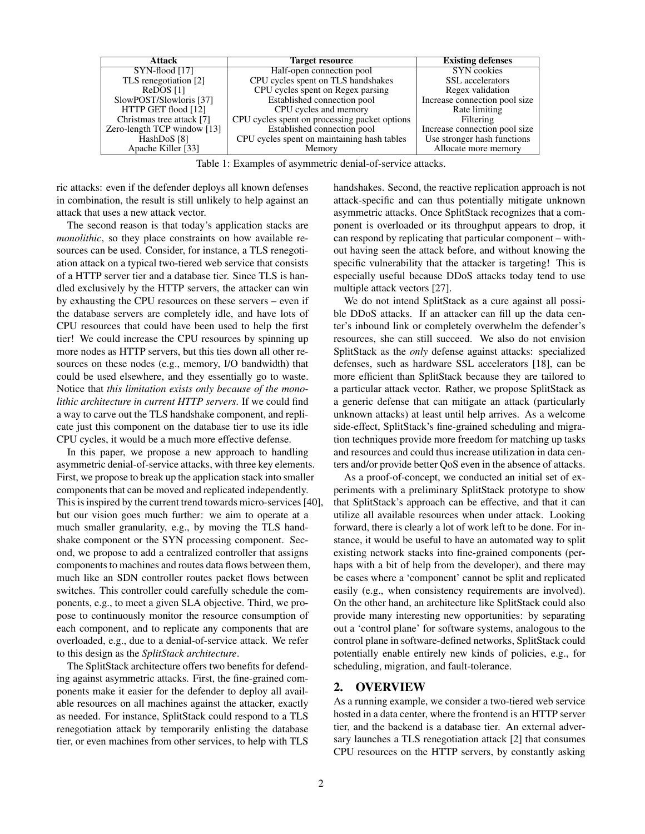<span id="page-1-0"></span>

| Attack                      | <b>Target resource</b>                        | <b>Existing defenses</b>      |
|-----------------------------|-----------------------------------------------|-------------------------------|
| $SYN$ -flood [17]           | Half-open connection pool                     | <b>SYN</b> cookies            |
| TLS renegotiation [2]       | CPU cycles spent on TLS handshakes            | SSL accelerators              |
| ReDOS <sup>[1]</sup>        | CPU cycles spent on Regex parsing             | Regex validation              |
| SlowPOST/Slowloris [37]     | Established connection pool                   | Increase connection pool size |
| HTTP GET flood [12]         | CPU cycles and memory                         | Rate limiting                 |
| Christmas tree attack [7]   | CPU cycles spent on processing packet options | Filtering                     |
| Zero-length TCP window [13] | Established connection pool                   | Increase connection pool size |
| HashDoS <sup>[8]</sup>      | CPU cycles spent on maintaining hash tables   | Use stronger hash functions   |
| Apache Killer [33]          | Memory                                        | Allocate more memory          |

Table 1: Examples of asymmetric denial-of-service attacks.

ric attacks: even if the defender deploys all known defenses in combination, the result is still unlikely to help against an attack that uses a new attack vector.

The second reason is that today's application stacks are *monolithic*, so they place constraints on how available resources can be used. Consider, for instance, a TLS renegotiation attack on a typical two-tiered web service that consists of a HTTP server tier and a database tier. Since TLS is handled exclusively by the HTTP servers, the attacker can win by exhausting the CPU resources on these servers – even if the database servers are completely idle, and have lots of CPU resources that could have been used to help the first tier! We could increase the CPU resources by spinning up more nodes as HTTP servers, but this ties down all other resources on these nodes (e.g., memory, I/O bandwidth) that could be used elsewhere, and they essentially go to waste. Notice that *this limitation exists only because of the monolithic architecture in current HTTP servers*. If we could find a way to carve out the TLS handshake component, and replicate just this component on the database tier to use its idle CPU cycles, it would be a much more effective defense.

In this paper, we propose a new approach to handling asymmetric denial-of-service attacks, with three key elements. First, we propose to break up the application stack into smaller components that can be moved and replicated independently. This is inspired by the current trend towards micro-services [\[40\]](#page-7-6), but our vision goes much further: we aim to operate at a much smaller granularity, e.g., by moving the TLS handshake component or the SYN processing component. Second, we propose to add a centralized controller that assigns components to machines and routes data flows between them, much like an SDN controller routes packet flows between switches. This controller could carefully schedule the components, e.g., to meet a given SLA objective. Third, we propose to continuously monitor the resource consumption of each component, and to replicate any components that are overloaded, e.g., due to a denial-of-service attack. We refer to this design as the *SplitStack architecture*.

The SplitStack architecture offers two benefits for defending against asymmetric attacks. First, the fine-grained components make it easier for the defender to deploy all available resources on all machines against the attacker, exactly as needed. For instance, SplitStack could respond to a TLS renegotiation attack by temporarily enlisting the database tier, or even machines from other services, to help with TLS handshakes. Second, the reactive replication approach is not attack-specific and can thus potentially mitigate unknown asymmetric attacks. Once SplitStack recognizes that a component is overloaded or its throughput appears to drop, it can respond by replicating that particular component – without having seen the attack before, and without knowing the specific vulnerability that the attacker is targeting! This is especially useful because DDoS attacks today tend to use multiple attack vectors [\[27\]](#page-6-12).

We do not intend SplitStack as a cure against all possible DDoS attacks. If an attacker can fill up the data center's inbound link or completely overwhelm the defender's resources, she can still succeed. We also do not envision SplitStack as the *only* defense against attacks: specialized defenses, such as hardware SSL accelerators [\[18\]](#page-6-13), can be more efficient than SplitStack because they are tailored to a particular attack vector. Rather, we propose SplitStack as a generic defense that can mitigate an attack (particularly unknown attacks) at least until help arrives. As a welcome side-effect, SplitStack's fine-grained scheduling and migration techniques provide more freedom for matching up tasks and resources and could thus increase utilization in data centers and/or provide better QoS even in the absence of attacks.

As a proof-of-concept, we conducted an initial set of experiments with a preliminary SplitStack prototype to show that SplitStack's approach can be effective, and that it can utilize all available resources when under attack. Looking forward, there is clearly a lot of work left to be done. For instance, it would be useful to have an automated way to split existing network stacks into fine-grained components (perhaps with a bit of help from the developer), and there may be cases where a 'component' cannot be split and replicated easily (e.g., when consistency requirements are involved). On the other hand, an architecture like SplitStack could also provide many interesting new opportunities: by separating out a 'control plane' for software systems, analogous to the control plane in software-defined networks, SplitStack could potentially enable entirely new kinds of policies, e.g., for scheduling, migration, and fault-tolerance.

# 2. OVERVIEW

As a running example, we consider a two-tiered web service hosted in a data center, where the frontend is an HTTP server tier, and the backend is a database tier. An external adversary launches a TLS renegotiation attack [\[2\]](#page-6-4) that consumes CPU resources on the HTTP servers, by constantly asking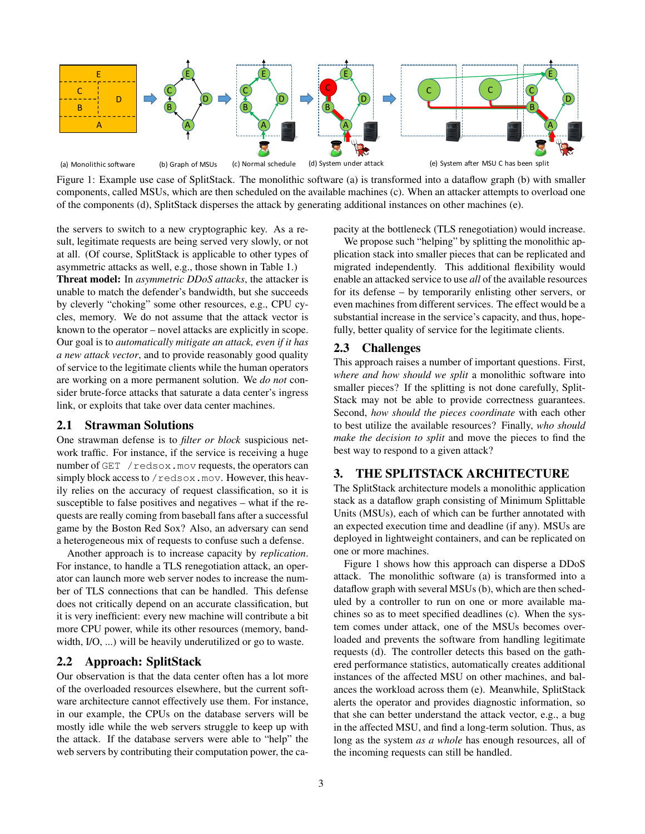<span id="page-2-0"></span>

Figure 1: Example use case of SplitStack. The monolithic software (a) is transformed into a dataflow graph (b) with smaller components, called MSUs, which are then scheduled on the available machines (c). When an attacker attempts to overload one of the components (d), SplitStack disperses the attack by generating additional instances on other machines (e).

the servers to switch to a new cryptographic key. As a result, legitimate requests are being served very slowly, or not at all. (Of course, SplitStack is applicable to other types of asymmetric attacks as well, e.g., those shown in Table [1.](#page-1-0))

Threat model: In *asymmetric DDoS attacks*, the attacker is unable to match the defender's bandwidth, but she succeeds by cleverly "choking" some other resources, e.g., CPU cycles, memory. We do not assume that the attack vector is known to the operator – novel attacks are explicitly in scope. Our goal is to *automatically mitigate an attack, even if it has a new attack vector*, and to provide reasonably good quality of service to the legitimate clients while the human operators are working on a more permanent solution. We *do not* consider brute-force attacks that saturate a data center's ingress link, or exploits that take over data center machines.

## 2.1 Strawman Solutions

One strawman defense is to *filter or block* suspicious network traffic. For instance, if the service is receiving a huge number of GET / redsox.mov requests, the operators can simply block access to  $/$  redsox.mov. However, this heavily relies on the accuracy of request classification, so it is susceptible to false positives and negatives – what if the requests are really coming from baseball fans after a successful game by the Boston Red Sox? Also, an adversary can send a heterogeneous mix of requests to confuse such a defense.

Another approach is to increase capacity by *replication*. For instance, to handle a TLS renegotiation attack, an operator can launch more web server nodes to increase the number of TLS connections that can be handled. This defense does not critically depend on an accurate classification, but it is very inefficient: every new machine will contribute a bit more CPU power, while its other resources (memory, bandwidth, I/O, ...) will be heavily underutilized or go to waste.

## 2.2 Approach: SplitStack

Our observation is that the data center often has a lot more of the overloaded resources elsewhere, but the current software architecture cannot effectively use them. For instance, in our example, the CPUs on the database servers will be mostly idle while the web servers struggle to keep up with the attack. If the database servers were able to "help" the web servers by contributing their computation power, the capacity at the bottleneck (TLS renegotiation) would increase.

We propose such "helping" by splitting the monolithic application stack into smaller pieces that can be replicated and migrated independently. This additional flexibility would enable an attacked service to use *all* of the available resources for its defense – by temporarily enlisting other servers, or even machines from different services. The effect would be a substantial increase in the service's capacity, and thus, hopefully, better quality of service for the legitimate clients.

#### 2.3 Challenges

This approach raises a number of important questions. First, *where and how should we split* a monolithic software into smaller pieces? If the splitting is not done carefully, Split-Stack may not be able to provide correctness guarantees. Second, *how should the pieces coordinate* with each other to best utilize the available resources? Finally, *who should make the decision to split* and move the pieces to find the best way to respond to a given attack?

## 3. THE SPLITSTACK ARCHITECTURE

The SplitStack architecture models a monolithic application stack as a dataflow graph consisting of Minimum Splittable Units (MSUs), each of which can be further annotated with an expected execution time and deadline (if any). MSUs are deployed in lightweight containers, and can be replicated on one or more machines.

Figure [1](#page-2-0) shows how this approach can disperse a DDoS attack. The monolithic software (a) is transformed into a dataflow graph with several MSUs (b), which are then scheduled by a controller to run on one or more available machines so as to meet specified deadlines (c). When the system comes under attack, one of the MSUs becomes overloaded and prevents the software from handling legitimate requests (d). The controller detects this based on the gathered performance statistics, automatically creates additional instances of the affected MSU on other machines, and balances the workload across them (e). Meanwhile, SplitStack alerts the operator and provides diagnostic information, so that she can better understand the attack vector, e.g., a bug in the affected MSU, and find a long-term solution. Thus, as long as the system *as a whole* has enough resources, all of the incoming requests can still be handled.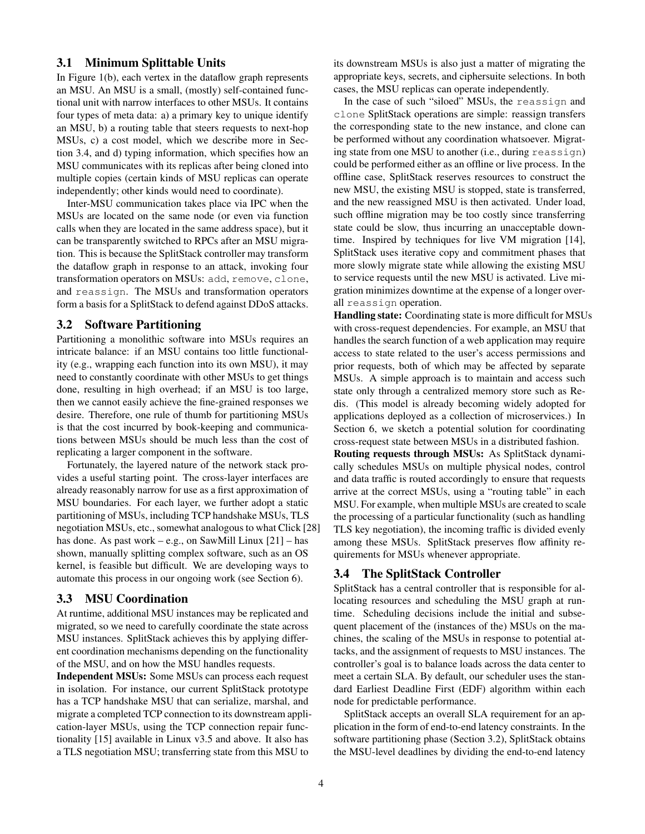#### 3.1 Minimum Splittable Units

In Figure 1(b), each vertex in the dataflow graph represents an MSU. An MSU is a small, (mostly) self-contained functional unit with narrow interfaces to other MSUs. It contains four types of meta data: a) a primary key to unique identify an MSU, b) a routing table that steers requests to next-hop MSUs, c) a cost model, which we describe more in Section [3.4,](#page-3-0) and d) typing information, which specifies how an MSU communicates with its replicas after being cloned into multiple copies (certain kinds of MSU replicas can operate independently; other kinds would need to coordinate).

Inter-MSU communication takes place via IPC when the MSUs are located on the same node (or even via function calls when they are located in the same address space), but it can be transparently switched to RPCs after an MSU migration. This is because the SplitStack controller may transform the dataflow graph in response to an attack, invoking four transformation operators on MSUs: add, remove, clone, and reassign. The MSUs and transformation operators form a basis for a SplitStack to defend against DDoS attacks.

#### <span id="page-3-1"></span>3.2 Software Partitioning

Partitioning a monolithic software into MSUs requires an intricate balance: if an MSU contains too little functionality (e.g., wrapping each function into its own MSU), it may need to constantly coordinate with other MSUs to get things done, resulting in high overhead; if an MSU is too large, then we cannot easily achieve the fine-grained responses we desire. Therefore, one rule of thumb for partitioning MSUs is that the cost incurred by book-keeping and communications between MSUs should be much less than the cost of replicating a larger component in the software.

Fortunately, the layered nature of the network stack provides a useful starting point. The cross-layer interfaces are already reasonably narrow for use as a first approximation of MSU boundaries. For each layer, we further adopt a static partitioning of MSUs, including TCP handshake MSUs, TLS negotiation MSUs, etc., somewhat analogous to what Click [\[28\]](#page-6-14) has done. As past work – e.g., on SawMill Linux  $[21]$  – has shown, manually splitting complex software, such as an OS kernel, is feasible but difficult. We are developing ways to automate this process in our ongoing work (see Section [6\)](#page-5-0).

#### 3.3 MSU Coordination

At runtime, additional MSU instances may be replicated and migrated, so we need to carefully coordinate the state across MSU instances. SplitStack achieves this by applying different coordination mechanisms depending on the functionality of the MSU, and on how the MSU handles requests.

Independent MSUs: Some MSUs can process each request in isolation. For instance, our current SplitStack prototype has a TCP handshake MSU that can serialize, marshal, and migrate a completed TCP connection to its downstream application-layer MSUs, using the TCP connection repair functionality [\[15\]](#page-6-16) available in Linux v3.5 and above. It also has a TLS negotiation MSU; transferring state from this MSU to

its downstream MSUs is also just a matter of migrating the appropriate keys, secrets, and ciphersuite selections. In both cases, the MSU replicas can operate independently.

In the case of such "siloed" MSUs, the reassign and clone SplitStack operations are simple: reassign transfers the corresponding state to the new instance, and clone can be performed without any coordination whatsoever. Migrating state from one MSU to another (i.e., during reassign) could be performed either as an offline or live process. In the offline case, SplitStack reserves resources to construct the new MSU, the existing MSU is stopped, state is transferred, and the new reassigned MSU is then activated. Under load, such offline migration may be too costly since transferring state could be slow, thus incurring an unacceptable downtime. Inspired by techniques for live VM migration [\[14\]](#page-6-17), SplitStack uses iterative copy and commitment phases that more slowly migrate state while allowing the existing MSU to service requests until the new MSU is activated. Live migration minimizes downtime at the expense of a longer overall reassign operation.

Handling state: Coordinating state is more difficult for MSUs with cross-request dependencies. For example, an MSU that handles the search function of a web application may require access to state related to the user's access permissions and prior requests, both of which may be affected by separate MSUs. A simple approach is to maintain and access such state only through a centralized memory store such as Redis. (This model is already becoming widely adopted for applications deployed as a collection of microservices.) In Section [6,](#page-5-0) we sketch a potential solution for coordinating cross-request state between MSUs in a distributed fashion.

Routing requests through MSUs: As SplitStack dynamically schedules MSUs on multiple physical nodes, control and data traffic is routed accordingly to ensure that requests arrive at the correct MSUs, using a "routing table" in each MSU. For example, when multiple MSUs are created to scale the processing of a particular functionality (such as handling TLS key negotiation), the incoming traffic is divided evenly among these MSUs. SplitStack preserves flow affinity requirements for MSUs whenever appropriate.

## <span id="page-3-0"></span>3.4 The SplitStack Controller

SplitStack has a central controller that is responsible for allocating resources and scheduling the MSU graph at runtime. Scheduling decisions include the initial and subsequent placement of the (instances of the) MSUs on the machines, the scaling of the MSUs in response to potential attacks, and the assignment of requests to MSU instances. The controller's goal is to balance loads across the data center to meet a certain SLA. By default, our scheduler uses the standard Earliest Deadline First (EDF) algorithm within each node for predictable performance.

SplitStack accepts an overall SLA requirement for an application in the form of end-to-end latency constraints. In the software partitioning phase (Section [3.2\)](#page-3-1), SplitStack obtains the MSU-level deadlines by dividing the end-to-end latency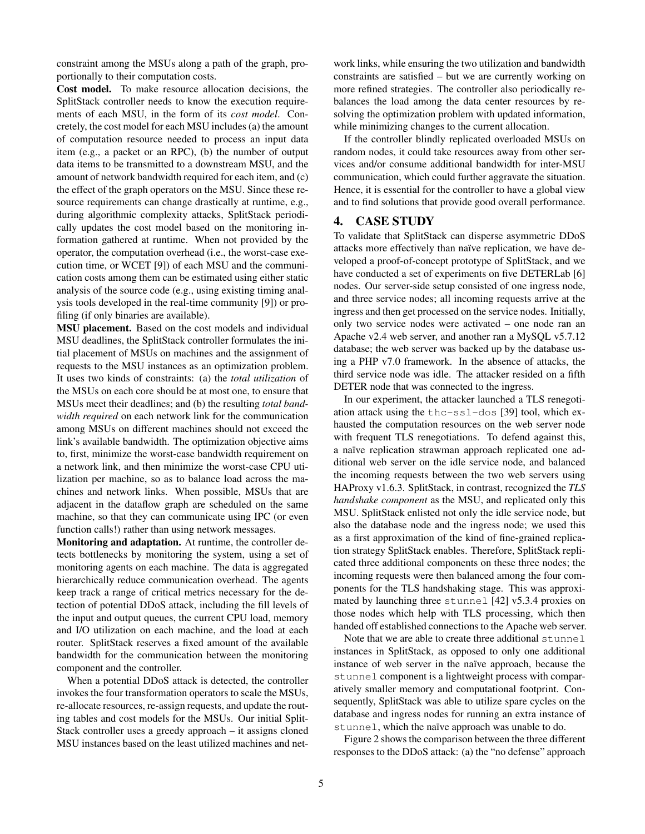constraint among the MSUs along a path of the graph, proportionally to their computation costs.

Cost model. To make resource allocation decisions, the SplitStack controller needs to know the execution requirements of each MSU, in the form of its *cost model*. Concretely, the cost model for each MSU includes (a) the amount of computation resource needed to process an input data item (e.g., a packet or an RPC), (b) the number of output data items to be transmitted to a downstream MSU, and the amount of network bandwidth required for each item, and (c) the effect of the graph operators on the MSU. Since these resource requirements can change drastically at runtime, e.g., during algorithmic complexity attacks, SplitStack periodically updates the cost model based on the monitoring information gathered at runtime. When not provided by the operator, the computation overhead (i.e., the worst-case execution time, or WCET [\[9\]](#page-6-18)) of each MSU and the communication costs among them can be estimated using either static analysis of the source code (e.g., using existing timing analysis tools developed in the real-time community [\[9\]](#page-6-18)) or profiling (if only binaries are available).

MSU placement. Based on the cost models and individual MSU deadlines, the SplitStack controller formulates the initial placement of MSUs on machines and the assignment of requests to the MSU instances as an optimization problem. It uses two kinds of constraints: (a) the *total utilization* of the MSUs on each core should be at most one, to ensure that MSUs meet their deadlines; and (b) the resulting *total bandwidth required* on each network link for the communication among MSUs on different machines should not exceed the link's available bandwidth. The optimization objective aims to, first, minimize the worst-case bandwidth requirement on a network link, and then minimize the worst-case CPU utilization per machine, so as to balance load across the machines and network links. When possible, MSUs that are adjacent in the dataflow graph are scheduled on the same machine, so that they can communicate using IPC (or even function calls!) rather than using network messages.

Monitoring and adaptation. At runtime, the controller detects bottlenecks by monitoring the system, using a set of monitoring agents on each machine. The data is aggregated hierarchically reduce communication overhead. The agents keep track a range of critical metrics necessary for the detection of potential DDoS attack, including the fill levels of the input and output queues, the current CPU load, memory and I/O utilization on each machine, and the load at each router. SplitStack reserves a fixed amount of the available bandwidth for the communication between the monitoring component and the controller.

When a potential DDoS attack is detected, the controller invokes the four transformation operators to scale the MSUs, re-allocate resources, re-assign requests, and update the routing tables and cost models for the MSUs. Our initial Split-Stack controller uses a greedy approach – it assigns cloned MSU instances based on the least utilized machines and network links, while ensuring the two utilization and bandwidth constraints are satisfied – but we are currently working on more refined strategies. The controller also periodically rebalances the load among the data center resources by resolving the optimization problem with updated information, while minimizing changes to the current allocation.

If the controller blindly replicated overloaded MSUs on random nodes, it could take resources away from other services and/or consume additional bandwidth for inter-MSU communication, which could further aggravate the situation. Hence, it is essential for the controller to have a global view and to find solutions that provide good overall performance.

#### 4. CASE STUDY

To validate that SplitStack can disperse asymmetric DDoS attacks more effectively than naïve replication, we have developed a proof-of-concept prototype of SplitStack, and we have conducted a set of experiments on five DETERLab [\[6\]](#page-6-19) nodes. Our server-side setup consisted of one ingress node, and three service nodes; all incoming requests arrive at the ingress and then get processed on the service nodes. Initially, only two service nodes were activated – one node ran an Apache v2.4 web server, and another ran a MySQL v5.7.12 database; the web server was backed up by the database using a PHP v7.0 framework. In the absence of attacks, the third service node was idle. The attacker resided on a fifth DETER node that was connected to the ingress.

In our experiment, the attacker launched a TLS renegotiation attack using the thc-ssl-dos [\[39\]](#page-7-7) tool, which exhausted the computation resources on the web server node with frequent TLS renegotiations. To defend against this, a naïve replication strawman approach replicated one additional web server on the idle service node, and balanced the incoming requests between the two web servers using HAProxy v1.6.3. SplitStack, in contrast, recognized the *TLS handshake component* as the MSU, and replicated only this MSU. SplitStack enlisted not only the idle service node, but also the database node and the ingress node; we used this as a first approximation of the kind of fine-grained replication strategy SplitStack enables. Therefore, SplitStack replicated three additional components on these three nodes; the incoming requests were then balanced among the four components for the TLS handshaking stage. This was approximated by launching three stunnel [\[42\]](#page-7-8) v5.3.4 proxies on those nodes which help with TLS processing, which then handed off established connections to the Apache web server.

Note that we are able to create three additional stunnel instances in SplitStack, as opposed to only one additional instance of web server in the naïve approach, because the stunnel component is a lightweight process with comparatively smaller memory and computational footprint. Consequently, SplitStack was able to utilize spare cycles on the database and ingress nodes for running an extra instance of stunnel, which the naïve approach was unable to do.

Figure [2](#page-5-1) shows the comparison between the three different responses to the DDoS attack: (a) the "no defense" approach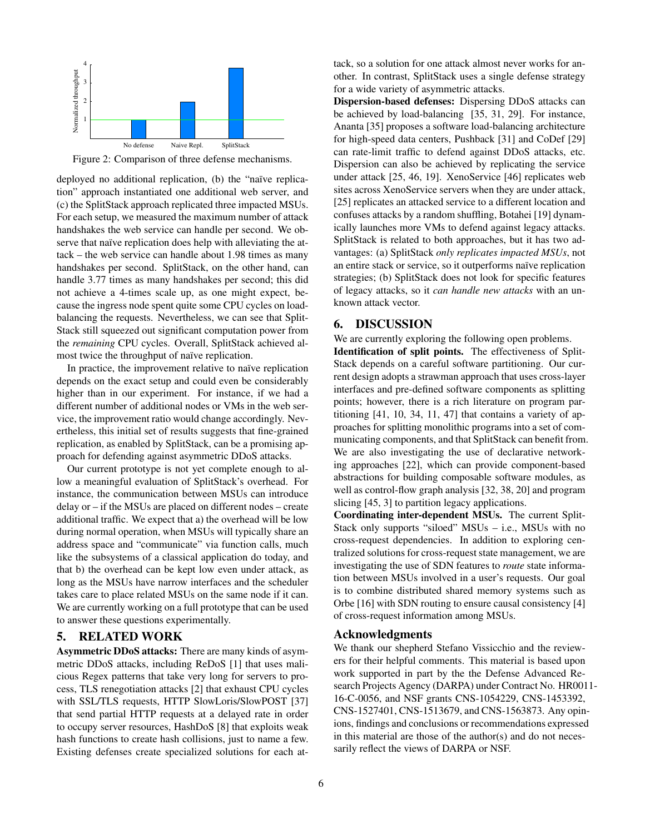<span id="page-5-1"></span>

Figure 2: Comparison of three defense mechanisms.

deployed no additional replication, (b) the "naïve replication" approach instantiated one additional web server, and (c) the SplitStack approach replicated three impacted MSUs. For each setup, we measured the maximum number of attack handshakes the web service can handle per second. We observe that naïve replication does help with alleviating the attack – the web service can handle about 1.98 times as many handshakes per second. SplitStack, on the other hand, can handle 3.77 times as many handshakes per second; this did not achieve a 4-times scale up, as one might expect, because the ingress node spent quite some CPU cycles on loadbalancing the requests. Nevertheless, we can see that Split-Stack still squeezed out significant computation power from the *remaining* CPU cycles. Overall, SplitStack achieved almost twice the throughput of naïve replication.

In practice, the improvement relative to naïve replication depends on the exact setup and could even be considerably higher than in our experiment. For instance, if we had a different number of additional nodes or VMs in the web service, the improvement ratio would change accordingly. Nevertheless, this initial set of results suggests that fine-grained replication, as enabled by SplitStack, can be a promising approach for defending against asymmetric DDoS attacks.

Our current prototype is not yet complete enough to allow a meaningful evaluation of SplitStack's overhead. For instance, the communication between MSUs can introduce delay or – if the MSUs are placed on different nodes – create additional traffic. We expect that a) the overhead will be low during normal operation, when MSUs will typically share an address space and "communicate" via function calls, much like the subsystems of a classical application do today, and that b) the overhead can be kept low even under attack, as long as the MSUs have narrow interfaces and the scheduler takes care to place related MSUs on the same node if it can. We are currently working on a full prototype that can be used to answer these questions experimentally.

#### 5. RELATED WORK

Asymmetric DDoS attacks: There are many kinds of asymmetric DDoS attacks, including ReDoS [\[1\]](#page-6-7) that uses malicious Regex patterns that take very long for servers to process, TLS renegotiation attacks [\[2\]](#page-6-4) that exhaust CPU cycles with SSL/TLS requests, HTTP SlowLoris/SlowPOST [\[37\]](#page-7-4) that send partial HTTP requests at a delayed rate in order to occupy server resources, HashDoS [\[8\]](#page-6-11) that exploits weak hash functions to create hash collisions, just to name a few. Existing defenses create specialized solutions for each attack, so a solution for one attack almost never works for another. In contrast, SplitStack uses a single defense strategy for a wide variety of asymmetric attacks.

Dispersion-based defenses: Dispersing DDoS attacks can be achieved by load-balancing [\[35,](#page-7-9) [31,](#page-7-3) [29\]](#page-6-20). For instance, Ananta [\[35\]](#page-7-9) proposes a software load-balancing architecture for high-speed data centers, Pushback [\[31\]](#page-7-3) and CoDef [\[29\]](#page-6-20) can rate-limit traffic to defend against DDoS attacks, etc. Dispersion can also be achieved by replicating the service under attack [\[25,](#page-6-21) [46,](#page-7-10) [19\]](#page-6-22). XenoService [\[46\]](#page-7-10) replicates web sites across XenoService servers when they are under attack, [\[25\]](#page-6-21) replicates an attacked service to a different location and confuses attacks by a random shuffling, Botahei [\[19\]](#page-6-22) dynamically launches more VMs to defend against legacy attacks. SplitStack is related to both approaches, but it has two advantages: (a) SplitStack *only replicates impacted MSUs*, not an entire stack or service, so it outperforms naïve replication strategies; (b) SplitStack does not look for specific features of legacy attacks, so it *can handle new attacks* with an unknown attack vector.

#### <span id="page-5-0"></span>6. DISCUSSION

We are currently exploring the following open problems. Identification of split points. The effectiveness of Split-Stack depends on a careful software partitioning. Our current design adopts a strawman approach that uses cross-layer interfaces and pre-defined software components as splitting points; however, there is a rich literature on program partitioning [\[41,](#page-7-11) [10,](#page-6-23) [34,](#page-7-12) [11,](#page-6-24) [47\]](#page-7-13) that contains a variety of approaches for splitting monolithic programs into a set of communicating components, and that SplitStack can benefit from. We are also investigating the use of declarative networking approaches [\[22\]](#page-6-25), which can provide component-based abstractions for building composable software modules, as well as control-flow graph analysis [\[32,](#page-7-14) [38,](#page-7-15) [20\]](#page-6-26) and program slicing [\[45,](#page-7-16) [3\]](#page-6-27) to partition legacy applications.

Coordinating inter-dependent MSUs. The current Split-Stack only supports "siloed" MSUs – i.e., MSUs with no cross-request dependencies. In addition to exploring centralized solutions for cross-request state management, we are investigating the use of SDN features to *route* state information between MSUs involved in a user's requests. Our goal is to combine distributed shared memory systems such as Orbe [\[16\]](#page-6-28) with SDN routing to ensure causal consistency [\[4\]](#page-6-29) of cross-request information among MSUs.

#### Acknowledgments

We thank our shepherd Stefano Vissicchio and the reviewers for their helpful comments. This material is based upon work supported in part by the the Defense Advanced Research Projects Agency (DARPA) under Contract No. HR0011- 16-C-0056, and NSF grants CNS-1054229, CNS-1453392, CNS-1527401, CNS-1513679, and CNS-1563873. Any opinions, findings and conclusions or recommendations expressed in this material are those of the author(s) and do not necessarily reflect the views of DARPA or NSF.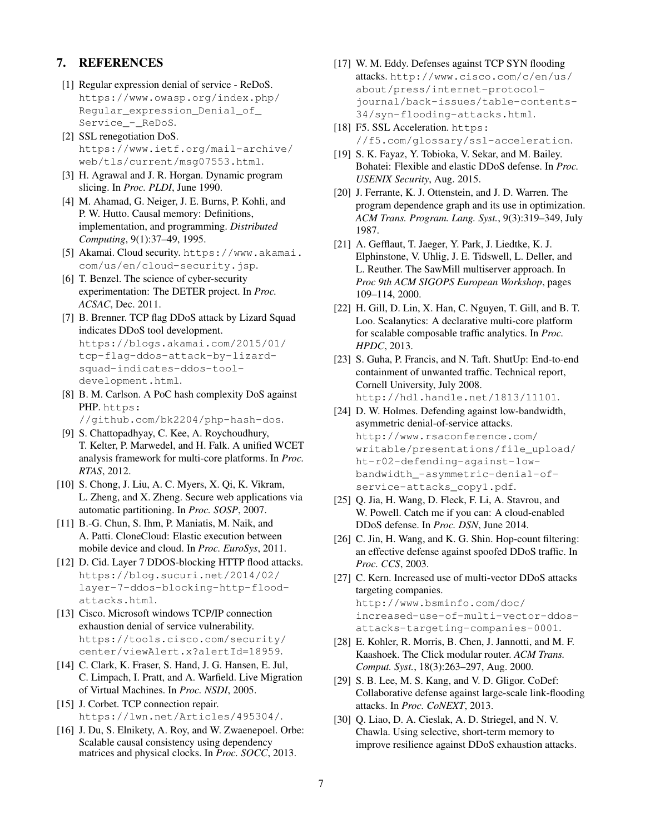# 7. REFERENCES

- <span id="page-6-7"></span>[1] Regular expression denial of service - ReDoS. [https://www.owasp.org/index.php/](https://www.owasp.org/index.php/Regular_expression_Denial_of_Service_-_ReDoS) [Regular\\_expression\\_Denial\\_of\\_](https://www.owasp.org/index.php/Regular_expression_Denial_of_Service_-_ReDoS) [Service\\_-\\_ReDoS](https://www.owasp.org/index.php/Regular_expression_Denial_of_Service_-_ReDoS).
- <span id="page-6-4"></span>[2] SSL renegotiation DoS. [https://www.ietf.org/mail-archive/](https://www.ietf.org/mail-archive/web/tls/current/msg07553.html) [web/tls/current/msg07553.html](https://www.ietf.org/mail-archive/web/tls/current/msg07553.html).
- <span id="page-6-27"></span>[3] H. Agrawal and J. R. Horgan. Dynamic program slicing. In *Proc. PLDI*, June 1990.
- <span id="page-6-29"></span>[4] M. Ahamad, G. Neiger, J. E. Burns, P. Kohli, and P. W. Hutto. Causal memory: Definitions, implementation, and programming. *Distributed Computing*, 9(1):37–49, 1995.
- <span id="page-6-3"></span>[5] Akamai. Cloud security. [https://www.akamai.](https://www.akamai.com/us/en/cloud-security.jsp) [com/us/en/cloud-security.jsp](https://www.akamai.com/us/en/cloud-security.jsp).
- <span id="page-6-19"></span>[6] T. Benzel. The science of cyber-security experimentation: The DETER project. In *Proc. ACSAC*, Dec. 2011.
- <span id="page-6-10"></span>[7] B. Brenner. TCP flag DDoS attack by Lizard Squad indicates DDoS tool development. [https://blogs.akamai.com/2015/01/](https://blogs.akamai.com/2015/01/tcp-flag-ddos-attack-by-lizard-squad-indicates-ddos-tool-development.html) [tcp-flag-ddos-attack-by-lizard](https://blogs.akamai.com/2015/01/tcp-flag-ddos-attack-by-lizard-squad-indicates-ddos-tool-development.html)[squad-indicates-ddos-tool](https://blogs.akamai.com/2015/01/tcp-flag-ddos-attack-by-lizard-squad-indicates-ddos-tool-development.html)[development.html](https://blogs.akamai.com/2015/01/tcp-flag-ddos-attack-by-lizard-squad-indicates-ddos-tool-development.html).
- <span id="page-6-11"></span>[8] B. M. Carlson. A PoC hash complexity DoS against PHP. [https:](https://github.com/bk2204/php-hash-dos) [//github.com/bk2204/php-hash-dos](https://github.com/bk2204/php-hash-dos).
- <span id="page-6-18"></span>[9] S. Chattopadhyay, C. Kee, A. Roychoudhury, T. Kelter, P. Marwedel, and H. Falk. A unified WCET analysis framework for multi-core platforms. In *Proc. RTAS*, 2012.
- <span id="page-6-23"></span>[10] S. Chong, J. Liu, A. C. Myers, X. Qi, K. Vikram, L. Zheng, and X. Zheng. Secure web applications via automatic partitioning. In *Proc. SOSP*, 2007.
- <span id="page-6-24"></span>[11] B.-G. Chun, S. Ihm, P. Maniatis, M. Naik, and A. Patti. CloneCloud: Elastic execution between mobile device and cloud. In *Proc. EuroSys*, 2011.
- <span id="page-6-9"></span>[12] D. Cid. Layer 7 DDOS-blocking HTTP flood attacks. [https://blog.sucuri.net/2014/02/](https://blog.sucuri.net/2014/02/layer-7-ddos-blocking-http-flood-attacks.html) [layer-7-ddos-blocking-http-flood](https://blog.sucuri.net/2014/02/layer-7-ddos-blocking-http-flood-attacks.html)[attacks.html](https://blog.sucuri.net/2014/02/layer-7-ddos-blocking-http-flood-attacks.html).
- <span id="page-6-6"></span>[13] Cisco. Microsoft windows TCP/IP connection exhaustion denial of service vulnerability. [https://tools.cisco.com/security/](https://tools.cisco.com/security/center/viewAlert.x?alertId=18959) [center/viewAlert.x?alertId=18959](https://tools.cisco.com/security/center/viewAlert.x?alertId=18959).
- <span id="page-6-17"></span>[14] C. Clark, K. Fraser, S. Hand, J. G. Hansen, E. Jul, C. Limpach, I. Pratt, and A. Warfield. Live Migration of Virtual Machines. In *Proc. NSDI*, 2005.
- <span id="page-6-16"></span>[15] J. Corbet. TCP connection repair. <https://lwn.net/Articles/495304/>.
- <span id="page-6-28"></span>[16] J. Du, S. Elnikety, A. Roy, and W. Zwaenepoel. Orbe: Scalable causal consistency using dependency matrices and physical clocks. In *Proc. SOCC*, 2013.
- <span id="page-6-8"></span>[17] W. M. Eddy. Defenses against TCP SYN flooding attacks. [http://www.cisco.com/c/en/us/](http://www.cisco.com/c/en/us/about/press/internet-protocol-journal/back-issues/table-contents-34/syn-flooding-attacks.html) [about/press/internet-protocol](http://www.cisco.com/c/en/us/about/press/internet-protocol-journal/back-issues/table-contents-34/syn-flooding-attacks.html)[journal/back-issues/table-contents-](http://www.cisco.com/c/en/us/about/press/internet-protocol-journal/back-issues/table-contents-34/syn-flooding-attacks.html)[34/syn-flooding-attacks.html](http://www.cisco.com/c/en/us/about/press/internet-protocol-journal/back-issues/table-contents-34/syn-flooding-attacks.html).
- <span id="page-6-13"></span>[18] F5. SSL Acceleration. [https:](https://f5.com/glossary/ssl-acceleration) [//f5.com/glossary/ssl-acceleration](https://f5.com/glossary/ssl-acceleration).
- <span id="page-6-22"></span>[19] S. K. Fayaz, Y. Tobioka, V. Sekar, and M. Bailey. Bohatei: Flexible and elastic DDoS defense. In *Proc. USENIX Security*, Aug. 2015.
- <span id="page-6-26"></span>[20] J. Ferrante, K. J. Ottenstein, and J. D. Warren. The program dependence graph and its use in optimization. *ACM Trans. Program. Lang. Syst.*, 9(3):319–349, July 1987.
- <span id="page-6-15"></span>[21] A. Gefflaut, T. Jaeger, Y. Park, J. Liedtke, K. J. Elphinstone, V. Uhlig, J. E. Tidswell, L. Deller, and L. Reuther. The SawMill multiserver approach. In *Proc 9th ACM SIGOPS European Workshop*, pages 109–114, 2000.
- <span id="page-6-25"></span>[22] H. Gill, D. Lin, X. Han, C. Nguyen, T. Gill, and B. T. Loo. Scalanytics: A declarative multi-core platform for scalable composable traffic analytics. In *Proc. HPDC*, 2013.
- <span id="page-6-0"></span>[23] S. Guha, P. Francis, and N. Taft. ShutUp: End-to-end containment of unwanted traffic. Technical report, Cornell University, July 2008. <http://hdl.handle.net/1813/11101>.
- <span id="page-6-5"></span>[24] D. W. Holmes. Defending against low-bandwidth, asymmetric denial-of-service attacks. [http://www.rsaconference.com/](http://www.rsaconference.com/writable/presentations/file_upload/ht-r02-defending-against-low-bandwidth_-asymmetric-denial-of-service-attacks_copy1.pdf) [writable/presentations/file\\_upload/](http://www.rsaconference.com/writable/presentations/file_upload/ht-r02-defending-against-low-bandwidth_-asymmetric-denial-of-service-attacks_copy1.pdf) [ht-r02-defending-against-low](http://www.rsaconference.com/writable/presentations/file_upload/ht-r02-defending-against-low-bandwidth_-asymmetric-denial-of-service-attacks_copy1.pdf)[bandwidth\\_-asymmetric-denial-of](http://www.rsaconference.com/writable/presentations/file_upload/ht-r02-defending-against-low-bandwidth_-asymmetric-denial-of-service-attacks_copy1.pdf)[service-attacks\\_copy1.pdf](http://www.rsaconference.com/writable/presentations/file_upload/ht-r02-defending-against-low-bandwidth_-asymmetric-denial-of-service-attacks_copy1.pdf).
- <span id="page-6-21"></span>[25] Q. Jia, H. Wang, D. Fleck, F. Li, A. Stavrou, and W. Powell. Catch me if you can: A cloud-enabled DDoS defense. In *Proc. DSN*, June 2014.
- <span id="page-6-1"></span>[26] C. Jin, H. Wang, and K. G. Shin. Hop-count filtering: an effective defense against spoofed DDoS traffic. In *Proc. CCS*, 2003.
- <span id="page-6-12"></span>[27] C. Kern. Increased use of multi-vector DDoS attacks targeting companies. [http://www.bsminfo.com/doc/](http://www.bsminfo.com/doc/increased-use-of-multi-vector-ddos-attacks-targeting-companies-0001) [increased-use-of-multi-vector-ddos](http://www.bsminfo.com/doc/increased-use-of-multi-vector-ddos-attacks-targeting-companies-0001)
	- [attacks-targeting-companies-0001](http://www.bsminfo.com/doc/increased-use-of-multi-vector-ddos-attacks-targeting-companies-0001).
- <span id="page-6-14"></span>[28] E. Kohler, R. Morris, B. Chen, J. Jannotti, and M. F. Kaashoek. The Click modular router. *ACM Trans. Comput. Syst.*, 18(3):263–297, Aug. 2000.
- <span id="page-6-20"></span>[29] S. B. Lee, M. S. Kang, and V. D. Gligor. CoDef: Collaborative defense against large-scale link-flooding attacks. In *Proc. CoNEXT*, 2013.
- <span id="page-6-2"></span>[30] Q. Liao, D. A. Cieslak, A. D. Striegel, and N. V. Chawla. Using selective, short-term memory to improve resilience against DDoS exhaustion attacks.